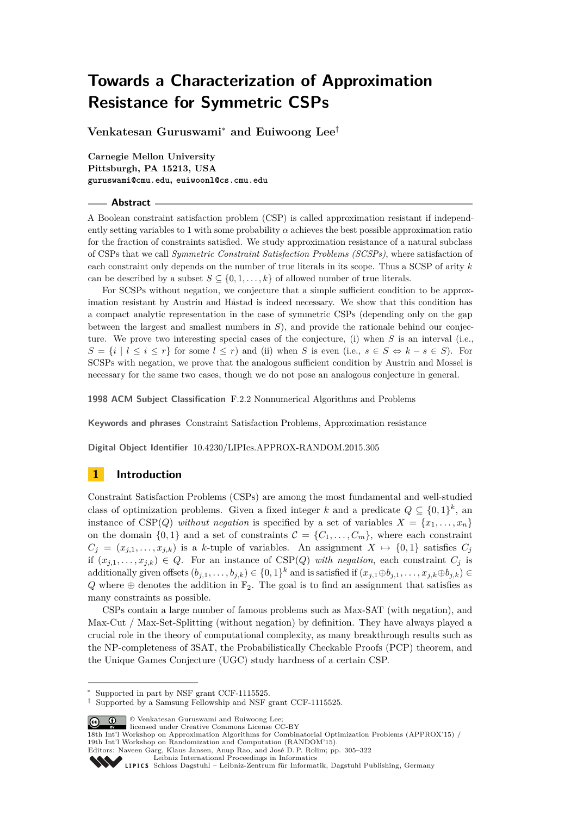**Venkatesan Guruswami**<sup>∗</sup> **and Euiwoong Lee**†

**Carnegie Mellon University Pittsburgh, PA 15213, USA guruswami@cmu.edu, euiwoonl@cs.cmu.edu**

### **Abstract**

A Boolean constraint satisfaction problem (CSP) is called approximation resistant if independently setting variables to 1 with some probability  $\alpha$  achieves the best possible approximation ratio for the fraction of constraints satisfied. We study approximation resistance of a natural subclass of CSPs that we call *Symmetric Constraint Satisfaction Problems (SCSPs)*, where satisfaction of each constraint only depends on the number of true literals in its scope. Thus a SCSP of arity *k* can be described by a subset  $S \subseteq \{0, 1, \ldots, k\}$  of allowed number of true literals.

For SCSPs without negation, we conjecture that a simple sufficient condition to be approximation resistant by Austrin and Håstad is indeed necessary. We show that this condition has a compact analytic representation in the case of symmetric CSPs (depending only on the gap between the largest and smallest numbers in *S*), and provide the rationale behind our conjecture. We prove two interesting special cases of the conjecture, (i) when *S* is an interval (i.e.,  $S = \{i \mid l \le i \le r\}$  for some  $l \le r$ ) and (ii) when *S* is even (i.e.,  $s \in S \Leftrightarrow k - s \in S$ ). For SCSPs with negation, we prove that the analogous sufficient condition by Austrin and Mossel is necessary for the same two cases, though we do not pose an analogous conjecture in general.

**1998 ACM Subject Classification** F.2.2 Nonnumerical Algorithms and Problems

**Keywords and phrases** Constraint Satisfaction Problems, Approximation resistance

**Digital Object Identifier** [10.4230/LIPIcs.APPROX-RANDOM.2015.305](http://dx.doi.org/10.4230/LIPIcs.APPROX-RANDOM.2015.305)

# **1 Introduction**

Constraint Satisfaction Problems (CSPs) are among the most fundamental and well-studied class of optimization problems. Given a fixed integer *k* and a predicate  $Q \subseteq \{0,1\}^k$ , and instance of CSP(*Q*) *without negation* is specified by a set of variables  $X = \{x_1, \ldots, x_n\}$ on the domain  $\{0,1\}$  and a set of constraints  $\mathcal{C} = \{C_1, \ldots, C_m\}$ , where each constraint  $C_i = (x_{i,1}, \ldots, x_{i,k})$  is a *k*-tuple of variables. An assignment  $X \mapsto \{0,1\}$  satisfies  $C_i$ if  $(x_{j,1},...,x_{j,k}) \in Q$ . For an instance of CSP(*Q*) *with negation*, each constraint  $C_j$  is additionally given offsets  $(b_{j,1}, \ldots, b_{j,k}) \in \{0,1\}^k$  and is satisfied if  $(x_{j,1} \oplus b_{j,1}, \ldots, x_{j,k} \oplus b_{j,k}) \in$  $Q$  where  $\oplus$  denotes the addition in  $\mathbb{F}_2$ . The goal is to find an assignment that satisfies as many constraints as possible.

CSPs contain a large number of famous problems such as Max-SAT (with negation), and Max-Cut / Max-Set-Splitting (without negation) by definition. They have always played a crucial role in the theory of computational complexity, as many breakthrough results such as the NP-completeness of 3SAT, the Probabilistically Checkable Proofs (PCP) theorem, and the Unique Games Conjecture (UGC) study hardness of a certain CSP.

© Venkatesan Guruswami and Euiwoong Lee; licensed under Creative Commons License CC-BY

[Schloss Dagstuhl – Leibniz-Zentrum für Informatik, Dagstuhl Publishing, Germany](http://www.dagstuhl.de)



Supported in part by NSF grant CCF-1115525.

<sup>†</sup> Supported by a Samsung Fellowship and NSF grant CCF-1115525.

<sup>18</sup>th Int'l Workshop on Approximation Algorithms for Combinatorial Optimization Problems (APPROX'15) / 19th Int'l Workshop on Randomization and Computation (RANDOM'15).

Editors: Naveen Garg, Klaus Jansen, Anup Rao, and José D. P. Rolim; pp. 305[–322](#page-17-0)

[Leibniz International Proceedings in Informatics](http://www.dagstuhl.de/lipics/)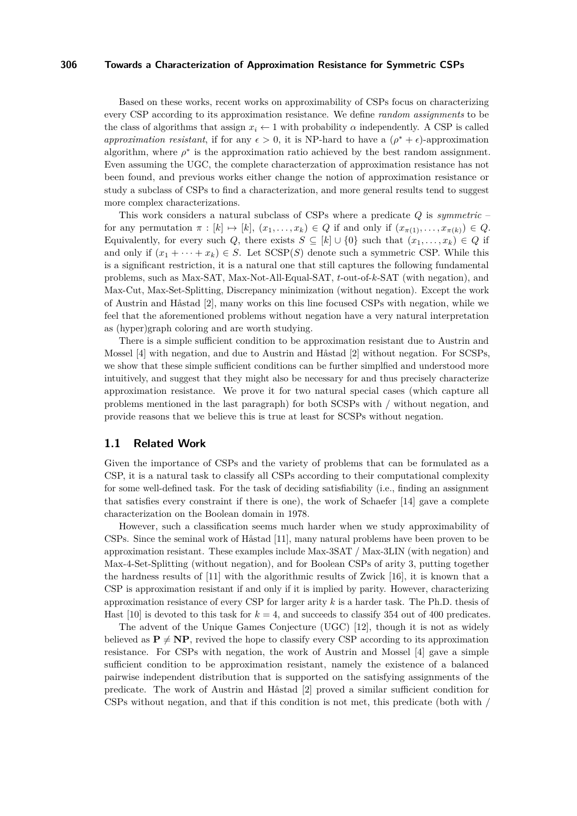Based on these works, recent works on approximability of CSPs focus on characterizing every CSP according to its approximation resistance. We define *random assignments* to be the class of algorithms that assign  $x_i \leftarrow 1$  with probability  $\alpha$  independently. A CSP is called *approximation resistant*, if for any  $\epsilon > 0$ , it is NP-hard to have a  $(\rho^* + \epsilon)$ -approximation algorithm, where  $\rho^*$  is the approximation ratio achieved by the best random assignment. Even assuming the UGC, the complete characterzation of approximation resistance has not been found, and previous works either change the notion of approximation resistance or study a subclass of CSPs to find a characterization, and more general results tend to suggest more complex characterizations.

This work considers a natural subclass of CSPs where a predicate *Q* is *symmetric* – for any permutation  $\pi : [k] \mapsto [k], (x_1, \ldots, x_k) \in Q$  if and only if  $(x_{\pi(1)}, \ldots, x_{\pi(k)}) \in Q$ . Equivalently, for every such *Q*, there exists  $S \subseteq [k] \cup \{0\}$  such that  $(x_1, \ldots, x_k) \in Q$  if and only if  $(x_1 + \cdots + x_k) \in S$ . Let  $SCSP(S)$  denote such a symmetric CSP. While this is a significant restriction, it is a natural one that still captures the following fundamental problems, such as Max-SAT, Max-Not-All-Equal-SAT, *t*-out-of-*k*-SAT (with negation), and Max-Cut, Max-Set-Splitting, Discrepancy minimization (without negation). Except the work of Austrin and Håstad [\[2\]](#page-14-0), many works on this line focused CSPs with negation, while we feel that the aforementioned problems without negation have a very natural interpretation as (hyper)graph coloring and are worth studying.

There is a simple sufficient condition to be approximation resistant due to Austrin and Mossel [\[4\]](#page-14-1) with negation, and due to Austrin and Håstad [\[2\]](#page-14-0) without negation. For SCSPs, we show that these simple sufficient conditions can be further simplfied and understood more intuitively, and suggest that they might also be necessary for and thus precisely characterize approximation resistance. We prove it for two natural special cases (which capture all problems mentioned in the last paragraph) for both SCSPs with / without negation, and provide reasons that we believe this is true at least for SCSPs without negation.

### **1.1 Related Work**

Given the importance of CSPs and the variety of problems that can be formulated as a CSP, it is a natural task to classify all CSPs according to their computational complexity for some well-defined task. For the task of deciding satisfiability (i.e., finding an assignment that satisfies every constraint if there is one), the work of Schaefer [\[14\]](#page-15-0) gave a complete characterization on the Boolean domain in 1978.

However, such a classification seems much harder when we study approximability of CSPs. Since the seminal work of Håstad [\[11\]](#page-14-2), many natural problems have been proven to be approximation resistant. These examples include Max-3SAT / Max-3LIN (with negation) and Max-4-Set-Splitting (without negation), and for Boolean CSPs of arity 3, putting together the hardness results of [\[11\]](#page-14-2) with the algorithmic results of Zwick [\[16\]](#page-15-1), it is known that a CSP is approximation resistant if and only if it is implied by parity. However, characterizing approximation resistance of every CSP for larger arity *k* is a harder task. The Ph.D. thesis of Hast  $[10]$  is devoted to this task for  $k = 4$ , and succeeds to classify 354 out of 400 predicates.

The advent of the Unique Games Conjecture (UGC) [\[12\]](#page-14-4), though it is not as widely believed as  $P \neq NP$ , revived the hope to classify every CSP according to its approximation resistance. For CSPs with negation, the work of Austrin and Mossel [\[4\]](#page-14-1) gave a simple sufficient condition to be approximation resistant, namely the existence of a balanced pairwise independent distribution that is supported on the satisfying assignments of the predicate. The work of Austrin and Håstad [\[2\]](#page-14-0) proved a similar sufficient condition for CSPs without negation, and that if this condition is not met, this predicate (both with /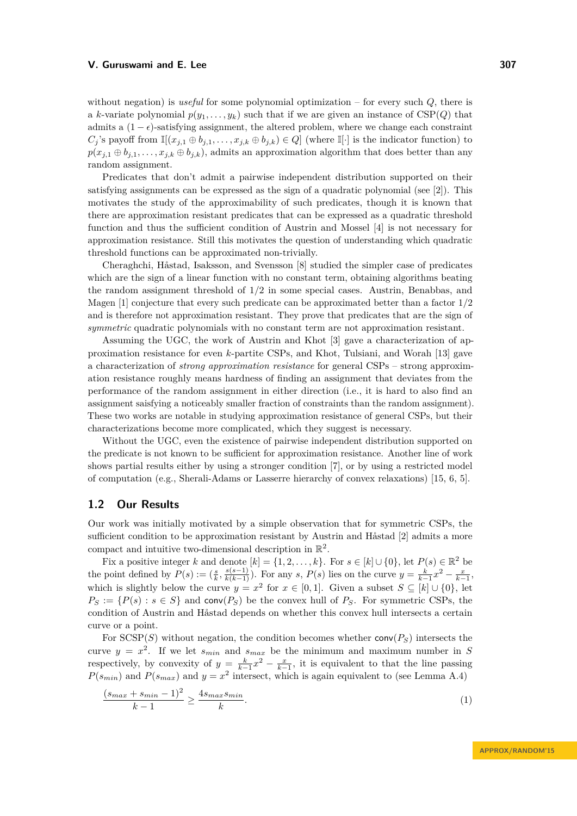without negation) is *useful* for some polynomial optimization – for every such *Q*, there is a *k*-variate polynomial  $p(y_1, \ldots, y_k)$  such that if we are given an instance of CSP(*Q*) that admits a  $(1 - \epsilon)$ -satisfying assignment, the altered problem, where we change each constraint  $C_j$ 's payoff from  $\mathbb{I}[(x_{j,1} \oplus b_{j,1}, \ldots, x_{j,k} \oplus b_{j,k}) \in Q]$  (where  $\mathbb{I}[\cdot]$  is the indicator function) to  $p(x_{j,1} \oplus b_{j,1}, \ldots, x_{j,k} \oplus b_{j,k})$ , admits an approximation algorithm that does better than any random assignment.

Predicates that don't admit a pairwise independent distribution supported on their satisfying assignments can be expressed as the sign of a quadratic polynomial (see [\[2\]](#page-14-0)). This motivates the study of the approximability of such predicates, though it is known that there are approximation resistant predicates that can be expressed as a quadratic threshold function and thus the sufficient condition of Austrin and Mossel [\[4\]](#page-14-1) is not necessary for approximation resistance. Still this motivates the question of understanding which quadratic threshold functions can be approximated non-trivially.

Cheraghchi, Håstad, Isaksson, and Svensson [\[8\]](#page-14-5) studied the simpler case of predicates which are the sign of a linear function with no constant term, obtaining algorithms beating the random assignment threshold of 1*/*2 in some special cases. Austrin, Benabbas, and Magen [\[1\]](#page-14-6) conjecture that every such predicate can be approximated better than a factor 1*/*2 and is therefore not approximation resistant. They prove that predicates that are the sign of *symmetric* quadratic polynomials with no constant term are not approximation resistant.

Assuming the UGC, the work of Austrin and Khot [\[3\]](#page-14-7) gave a characterization of approximation resistance for even *k*-partite CSPs, and Khot, Tulsiani, and Worah [\[13\]](#page-15-2) gave a characterization of *strong approximation resistance* for general CSPs – strong approximation resistance roughly means hardness of finding an assignment that deviates from the performance of the random assignment in either direction (i.e., it is hard to also find an assignment saisfying a noticeably smaller fraction of constraints than the random assignment). These two works are notable in studying approximation resistance of general CSPs, but their characterizations become more complicated, which they suggest is necessary.

Without the UGC, even the existence of pairwise independent distribution supported on the predicate is not known to be sufficient for approximation resistance. Another line of work shows partial results either by using a stronger condition [\[7\]](#page-14-8), or by using a restricted model of computation (e.g., Sherali-Adams or Lasserre hierarchy of convex relaxations) [\[15,](#page-15-3) [6,](#page-14-9) [5\]](#page-14-10).

# **1.2 Our Results**

Our work was initially motivated by a simple observation that for symmetric CSPs, the sufficient condition to be approximation resistant by Austrin and Håstad [\[2\]](#page-14-0) admits a more compact and intuitive two-dimensional description in  $\mathbb{R}^2$ .

Fix a positive integer *k* and denote  $[k] = \{1, 2, \ldots, k\}$ . For  $s \in [k] \cup \{0\}$ , let  $P(s) \in \mathbb{R}^2$  be the point defined by  $P(s) := (\frac{s}{k}, \frac{s(s-1)}{k(k-1)})$ . For any s,  $P(s)$  lies on the curve  $y = \frac{k}{k-1}x^2 - \frac{x}{k-1}$ , which is slightly below the curve  $y = x^2$  for  $x \in [0,1]$ . Given a subset  $S \subseteq [k] \cup \{0\}$ , let  $P_S := \{P(s) : s \in S\}$  and conv $(P_S)$  be the convex hull of  $P_S$ . For symmetric CSPs, the condition of Austrin and Håstad depends on whether this convex hull intersects a certain curve or a point.

For  $SCSP(S)$  without negation, the condition becomes whether  $conv(P<sub>S</sub>)$  intersects the curve  $y = x^2$ . If we let  $s_{min}$  and  $s_{max}$  be the minimum and maximum number in *S* respectively, by convexity of  $y = \frac{k}{k-1}x^2 - \frac{x}{k-1}$ , it is equivalent to that the line passing  $P(s_{min})$  and  $P(s_{max})$  and  $y = x^2$  intersect, which is again equivalent to (see Lemma [A.4\)](#page-16-0)

<span id="page-2-0"></span>
$$
\frac{(s_{max} + s_{min} - 1)^2}{k - 1} \ge \frac{4s_{max} s_{min}}{k}.\tag{1}
$$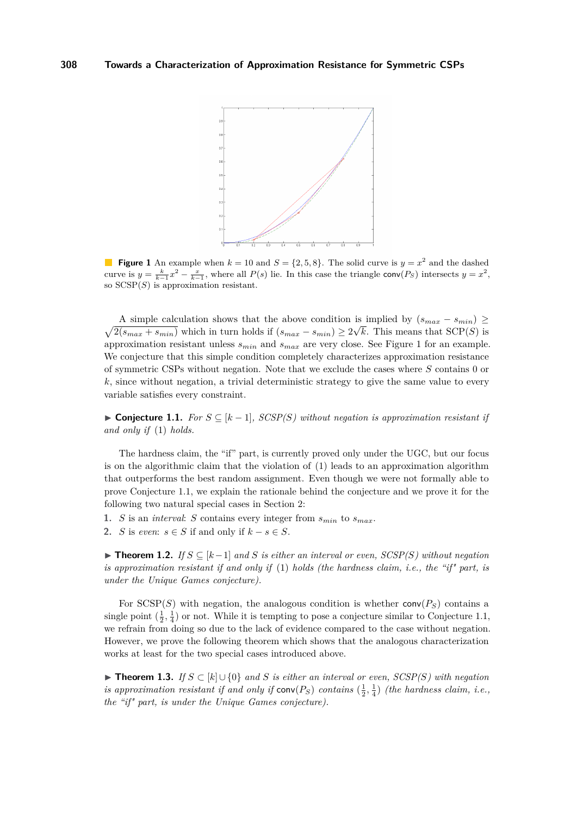<span id="page-3-0"></span>

**Figure 1** An example when  $k = 10$  and  $S = \{2, 5, 8\}$ . The solid curve is  $y = x^2$  and the dashed curve is  $y = \frac{k}{k-1}x^2 - \frac{x}{k-1}$ , where all  $P(s)$  lie. In this case the triangle conv $(P_S)$  intersects  $y = x^2$ , so SCSP(*S*) is approximation resistant.

 $\sqrt{2(s_{max} + s_{min})}$  which in turn holds if  $(s_{max} - s_{min}) \geq 2\sqrt{k}$ . This means that SCP(*S*) is A simple calculation shows that the above condition is implied by  $(s_{max} - s_{min}) \ge$ approximation resistant unless *smin* and *smax* are very close. See Figure [1](#page-3-0) for an example. We conjecture that this simple condition completely characterizes approximation resistance of symmetric CSPs without negation. Note that we exclude the cases where *S* contains 0 or *k*, since without negation, a trivial deterministic strategy to give the same value to every variable satisfies every constraint.

<span id="page-3-1"></span>**► Conjecture 1.1.** *For*  $S \subseteq [k-1]$ *, SCSP(S)* without negation is approximation resistant if *and only if* [\(1\)](#page-2-0) *holds.*

The hardness claim, the "if" part, is currently proved only under the UGC, but our focus is on the algorithmic claim that the violation of [\(1\)](#page-2-0) leads to an approximation algorithm that outperforms the best random assignment. Even though we were not formally able to prove Conjecture [1.1,](#page-3-1) we explain the rationale behind the conjecture and we prove it for the following two natural special cases in Section [2:](#page-5-0)

- **1.** *S* is an *interval: S* contains every integer from  $s_{min}$  to  $s_{max}$ .
- **2.** *S* is *even*:  $s \in S$  if and only if  $k − s \in S$ .

<span id="page-3-2"></span>**► Theorem 1.2.** *If*  $S \subseteq [k-1]$  *and S is either an interval or even, SCSP(S) without negation is approximation resistant if and only if* [\(1\)](#page-2-0) *holds (the hardness claim, i.e., the "if" part, is under the Unique Games conjecture).*

For  $SCSP(S)$  with negation, the analogous condition is whether  $conv(P<sub>S</sub>)$  contains a single point  $(\frac{1}{2}, \frac{1}{4})$  or not. While it is tempting to pose a conjecture similar to Conjecture [1.1,](#page-3-1) we refrain from doing so due to the lack of evidence compared to the case without negation. However, we prove the following theorem which shows that the analogous characterization works at least for the two special cases introduced above.

**► Theorem 1.3.** *If*  $S \subset [k] \cup \{0\}$  *and S is either an interval or even, SCSP(S) with negation is approximation resistant if and only if*  $conv(P_S)$  *contains*  $(\frac{1}{2}, \frac{1}{4})$  *(the hardness claim, i.e., the "if" part, is under the Unique Games conjecture).*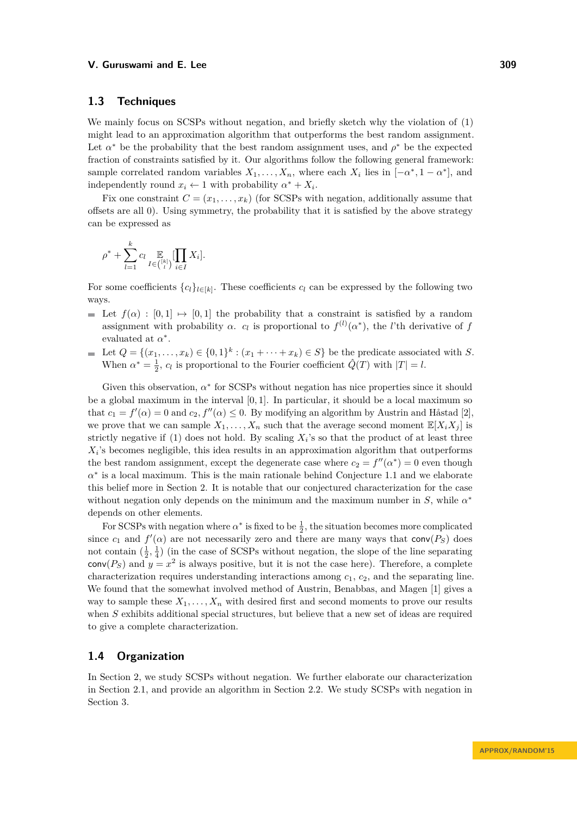# **1.3 Techniques**

We mainly focus on SCSPs without negation, and briefly sketch why the violation of [\(1\)](#page-2-0) might lead to an approximation algorithm that outperforms the best random assignment. Let  $\alpha^*$  be the probability that the best random assignment uses, and  $\rho^*$  be the expected fraction of constraints satisfied by it. Our algorithms follow the following general framework: sample correlated random variables  $X_1, \ldots, X_n$ , where each  $X_i$  lies in  $[-\alpha^*, 1 - \alpha^*]$ , and independently round  $x_i \leftarrow 1$  with probability  $\alpha^* + X_i$ .

Fix one constraint  $C = (x_1, \ldots, x_k)$  (for SCSPs with negation, additionally assume that offsets are all 0). Using symmetry, the probability that it is satisfied by the above strategy can be expressed as

$$
\rho^* + \sum_{l=1}^k c_l \mathop{\mathbb{E}}_{I \in \binom{[k]}{l}} [\prod_{i \in I} X_i].
$$

For some coefficients  $\{c_l\}_{l \in [k]}$ . These coefficients  $c_l$  can be expressed by the following two ways.

- Let  $f(\alpha) : [0,1] \mapsto [0,1]$  the probability that a constraint is satisfied by a random assignment with probability  $\alpha$ .  $c_l$  is proportional to  $f^{(l)}(\alpha^*)$ , the *l*'th derivative of *f* evaluated at  $\alpha^*$ .
- Let  $Q = \{(x_1, \ldots, x_k) \in \{0,1\}^k : (x_1 + \cdots + x_k) \in S\}$  be the predicate associated with *S*. When  $\alpha^* = \frac{1}{2}$ ,  $c_l$  is proportional to the Fourier coefficient  $\hat{Q}(T)$  with  $|T| = l$ .

Given this observation,  $\alpha^*$  for SCSPs without negation has nice properties since it should be a global maximum in the interval [0*,* 1]. In particular, it should be a local maximum so that  $c_1 = f'(\alpha) = 0$  and  $c_2, f''(\alpha) \leq 0$ . By modifying an algorithm by Austrin and Håstad [\[2\]](#page-14-0), we prove that we can sample  $X_1, \ldots, X_n$  such that the average second moment  $\mathbb{E}[X_i X_j]$  is strictly negative if [\(1\)](#page-2-0) does not hold. By scaling  $X_i$ 's so that the product of at least three  $X_i$ 's becomes negligible, this idea results in an approximation algorithm that outperforms the best random assignment, except the degenerate case where  $c_2 = f''(\alpha^*) = 0$  even though  $\alpha^*$  is a local maximum. This is the main rationale behind Conjecture [1.1](#page-3-1) and we elaborate this belief more in Section [2.](#page-5-0) It is notable that our conjectured characterization for the case without negation only depends on the minimum and the maximum number in  $S$ , while  $\alpha^*$ depends on other elements.

For SCSPs with negation where  $\alpha^*$  is fixed to be  $\frac{1}{2}$ , the situation becomes more complicated since  $c_1$  and  $f'(\alpha)$  are not necessarily zero and there are many ways that conv $(P_S)$  does not contain  $(\frac{1}{2}, \frac{1}{4})$  (in the case of SCSPs without negation, the slope of the line separating  $conv(P<sub>S</sub>)$  and  $y = x<sup>2</sup>$  is always positive, but it is not the case here). Therefore, a complete characterization requires understanding interactions among *c*1, *c*2, and the separating line. We found that the somewhat involved method of Austrin, Benabbas, and Magen [\[1\]](#page-14-6) gives a way to sample these  $X_1, \ldots, X_n$  with desired first and second moments to prove our results when *S* exhibits additional special structures, but believe that a new set of ideas are required to give a complete characterization.

# **1.4 Organization**

In Section [2,](#page-5-0) we study SCSPs without negation. We further elaborate our characterization in Section [2.1,](#page-5-1) and provide an algorithm in Section [2.2.](#page-6-0) We study SCSPs with negation in Section [3.](#page-11-0)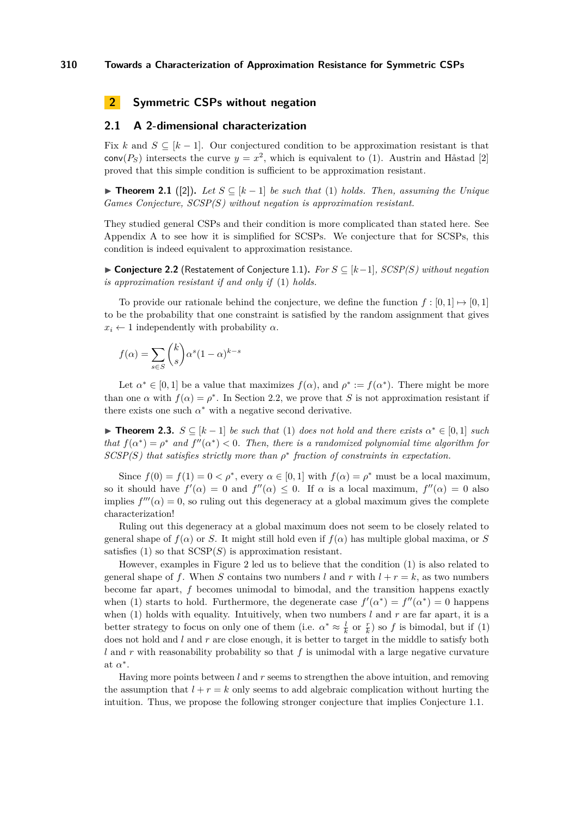# <span id="page-5-0"></span>**2 Symmetric CSPs without negation**

# <span id="page-5-1"></span>**2.1 A 2-dimensional characterization**

Fix *k* and  $S \subseteq [k-1]$ . Our conjectured condition to be approximation resistant is that  $conv(P<sub>S</sub>)$  intersects the curve  $y = x<sup>2</sup>$ , which is equivalent to [\(1\)](#page-2-0). Austrin and Håstad [\[2\]](#page-14-0) proved that this simple condition is sufficient to be approximation resistant.

**► Theorem 2.1** ([\[2\]](#page-14-0)). Let  $S \subseteq [k-1]$  be such that [\(1\)](#page-2-0) holds. Then, assuming the Unique *Games Conjecture, SCSP(S) without negation is approximation resistant.*

They studied general CSPs and their condition is more complicated than stated here. See Appendix [A](#page-15-4) to see how it is simplified for SCSPs. We conjecture that for SCSPs, this condition is indeed equivalent to approximation resistance.

I **Conjecture 2.2** (Restatement of Conjecture [1.1\)](#page-3-1)**.** *For S* ⊆ [*k*−1]*, SCSP(S) without negation is approximation resistant if and only if* [\(1\)](#page-2-0) *holds.*

To provide our rationale behind the conjecture, we define the function  $f : [0,1] \mapsto [0,1]$ to be the probability that one constraint is satisfied by the random assignment that gives  $x_i \leftarrow 1$  independently with probability  $\alpha$ .

$$
f(\alpha) = \sum_{s \in S} \binom{k}{s} \alpha^s (1 - \alpha)^{k - s}
$$

Let  $\alpha^* \in [0,1]$  be a value that maximizes  $f(\alpha)$ , and  $\rho^* := f(\alpha^*)$ . There might be more than one  $\alpha$  with  $f(\alpha) = \rho^*$ . In Section [2.2,](#page-6-0) we prove that *S* is not approximation resistant if there exists one such  $\alpha^*$  with a negative second derivative.

<span id="page-5-2"></span>**► Theorem 2.3.**  $S \subseteq [k-1]$  *be such that* [\(1\)](#page-2-0) *does not hold and there exists*  $\alpha^* \in [0,1]$  *such that*  $f(\alpha^*) = \rho^*$  *and*  $f''(\alpha^*) < 0$ . Then, there is a randomized polynomial time algorithm for *SCSP(S) that satisfies strictly more than ρ* ∗ *fraction of constraints in expectation.*

Since  $f(0) = f(1) = 0 < \rho^*$ , every  $\alpha \in [0, 1]$  with  $f(\alpha) = \rho^*$  must be a local maximum, so it should have  $f'(\alpha) = 0$  and  $f''(\alpha) \leq 0$ . If  $\alpha$  is a local maximum,  $f''(\alpha) = 0$  also implies  $f'''(\alpha) = 0$ , so ruling out this degeneracy at a global maximum gives the complete characterization!

Ruling out this degeneracy at a global maximum does not seem to be closely related to general shape of  $f(\alpha)$  or *S*. It might still hold even if  $f(\alpha)$  has multiple global maxima, or *S* satisfies  $(1)$  so that  $SCSP(S)$  is approximation resistant.

However, examples in Figure [2](#page-6-1) led us to believe that the condition [\(1\)](#page-2-0) is also related to general shape of f. When *S* contains two numbers *l* and r with  $l + r = k$ , as two numbers become far apart, *f* becomes unimodal to bimodal, and the transition happens exactly when [\(1\)](#page-2-0) starts to hold. Furthermore, the degenerate case  $f'(\alpha^*) = f''(\alpha^*) = 0$  happens when [\(1\)](#page-2-0) holds with equality. Intuitively, when two numbers  $l$  and  $r$  are far apart, it is a better strategy to focus on only one of them (i.e.  $\alpha^* \approx \frac{l}{k}$  or  $\frac{r}{k}$ ) so *f* is bimodal, but if [\(1\)](#page-2-0) does not hold and *l* and *r* are close enough, it is better to target in the middle to satisfy both *l* and *r* with reasonability probability so that *f* is unimodal with a large negative curvature at  $\alpha^*$ .

Having more points between *l* and *r* seems to strengthen the above intuition, and removing the assumption that  $l + r = k$  only seems to add algebraic complication without hurting the intuition. Thus, we propose the following stronger conjecture that implies Conjecture [1.1.](#page-3-1)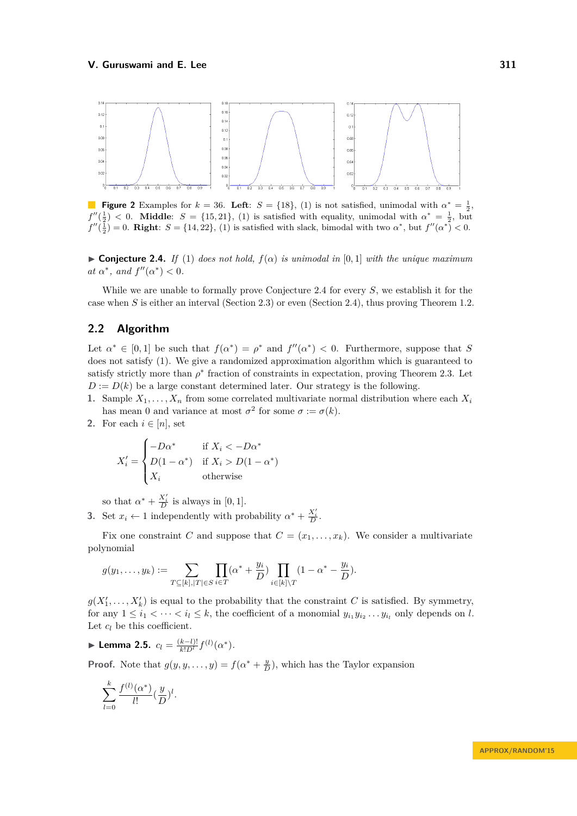<span id="page-6-1"></span>

**Figure 2** Examples for  $k = 36$ . Left:  $S = \{18\}$ , [\(1\)](#page-2-0) is not satisfied, unimodal with  $\alpha^* = \frac{1}{2}$ ,  $f''(\frac{1}{2})$  < 0. **Middle**:  $S = \{15, 21\}$ , [\(1\)](#page-2-0) is satisfied with equality, unimodal with  $\alpha^* = \frac{1}{2}$ , but  $f''(\frac{1}{2}) = 0$ . **Right**:  $S = \{14, 22\}$ , [\(1\)](#page-2-0) is satisfied with slack, bimodal with two  $\alpha^*$ , but  $f''(\alpha^*) < 0$ .

<span id="page-6-2"></span> $▶$  **Conjecture 2.4.** *If* [\(1\)](#page-2-0) *does not hold,*  $f(α)$  *is unimodal in* [0,1] *with the unique maximum at*  $\alpha^*$ *, and*  $f''(\alpha^*) < 0$ *.* 

While we are unable to formally prove Conjecture [2.4](#page-6-2) for every *S*, we establish it for the case when *S* is either an interval (Section [2.3\)](#page-9-0) or even (Section [2.4\)](#page-10-0), thus proving Theorem [1.2.](#page-3-2)

# <span id="page-6-0"></span>**2.2 Algorithm**

Let  $\alpha^* \in [0,1]$  be such that  $f(\alpha^*) = \rho^*$  and  $f''(\alpha^*) < 0$ . Furthermore, suppose that *S* does not satisfy [\(1\)](#page-2-0). We give a randomized approximation algorithm which is guaranteed to satisfy strictly more than  $\rho^*$  fraction of constraints in expectation, proving Theorem [2.3.](#page-5-2) Let  $D := D(k)$  be a large constant determined later. Our strategy is the following.

- **1.** Sample  $X_1, \ldots, X_n$  from some correlated multivariate normal distribution where each  $X_i$ has mean 0 and variance at most  $\sigma^2$  for some  $\sigma := \sigma(k)$ .
- **2.** For each  $i \in [n]$ , set

$$
X'_{i} = \begin{cases} -D\alpha^{*} & \text{if } X_{i} < -D\alpha^{*} \\ D(1 - \alpha^{*}) & \text{if } X_{i} > D(1 - \alpha^{*}) \\ X_{i} & \text{otherwise} \end{cases}
$$

so that  $\alpha^* + \frac{X'_i}{D}$  is always in [0, 1].

**3.** Set  $x_i \leftarrow 1$  independently with probability  $\alpha^* + \frac{X_i'}{D}$ .

Fix one constraint *C* and suppose that  $C = (x_1, \ldots, x_k)$ . We consider a multivariate polynomial

$$
g(y_1, ..., y_k) := \sum_{T \subseteq [k], |T| \in S} \prod_{i \in T} (\alpha^* + \frac{y_i}{D}) \prod_{i \in [k] \setminus T} (1 - \alpha^* - \frac{y_i}{D}).
$$

 $g(X'_1, \ldots, X'_k)$  is equal to the probability that the constraint *C* is satisfied. By symmetry, for any  $1 \leq i_1 < \cdots < i_l \leq k$ , the coefficient of a monomial  $y_{i_1} y_{i_2} \ldots y_{i_l}$  only depends on *l*. Let  $c_l$  be this coefficient.

$$
\blacktriangleright \textbf{Lemma 2.5. } c_l = \frac{(k-l)!}{k!D^l} f^{(l)}(\alpha^*).
$$

**Proof.** Note that  $g(y, y, ..., y) = f(\alpha^* + \frac{y}{D})$ , which has the Taylor expansion

$$
\sum_{l=0}^{k} \frac{f^{(l)}(\alpha^*)}{l!} (\frac{y}{D})^l.
$$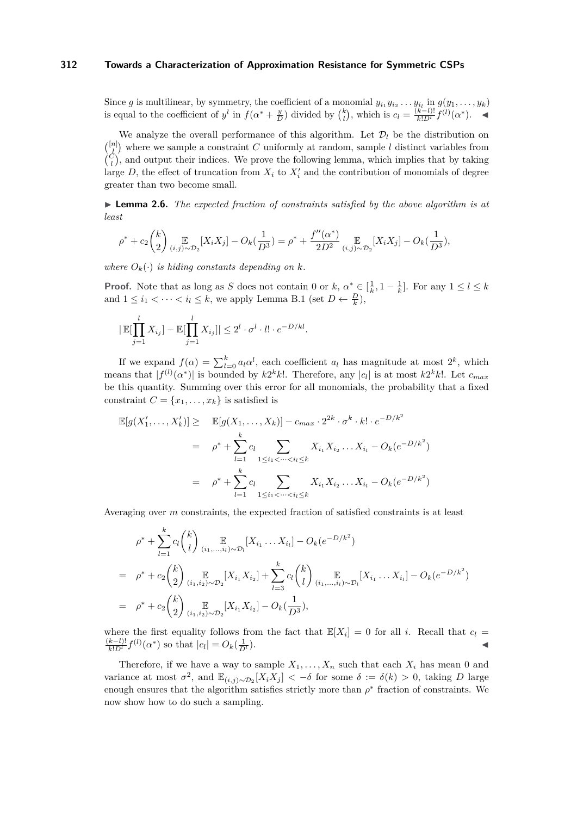Since *g* is multilinear, by symmetry, the coefficient of a monomial  $y_{i_1}y_{i_2} \ldots y_{i_l}$  in  $g(y_1, \ldots, y_k)$ is equal to the coefficient of  $y^l$  in  $f(\alpha^* + \frac{y}{D})$  divided by  $\binom{k}{l}$ , which is  $c_l = \frac{(k-l)!}{k!D^l} f^{(l)}(\alpha^*)$ .

We analyze the overall performance of this algorithm. Let  $\mathcal{D}_l$  be the distribution on  $\binom{[n]}{l}$  where we sample a constraint *C* uniformly at random, sample *l* distinct variables from  $\binom{C}{l}$ , and output their indices. We prove the following lemma, which implies that by taking large  $D$ , the effect of truncation from  $X_i$  to  $X_i'$  and the contribution of monomials of degree greater than two become small.

► **Lemma 2.6.** *The expected fraction of constraints satisfied by the above algorithm is at least*

$$
\rho^* + c_2 {k \choose 2} \underset{(i,j)\sim\mathcal{D}_2}{\mathbb{E}} [X_i X_j] - O_k(\frac{1}{D^3}) = \rho^* + \frac{f''(\alpha^*)}{2D^2} \underset{(i,j)\sim\mathcal{D}_2}{\mathbb{E}} [X_i X_j] - O_k(\frac{1}{D^3}),
$$

*where*  $O_k(\cdot)$  *is hiding constants depending on k.* 

**Proof.** Note that as long as *S* does not contain 0 or  $k$ ,  $\alpha^* \in \left[\frac{1}{k}, 1 - \frac{1}{k}\right]$ . For any  $1 \leq l \leq k$ and  $1 \leq i_1 < \cdots < i_l \leq k$ , we apply Lemma [B.1](#page-16-1) (set  $D \leftarrow \frac{D}{k}$ ),

$$
|\mathbb{E}[\prod_{j=1}^l X_{i_j}] - \mathbb{E}[\prod_{j=1}^l X_{i_j}]| \le 2^l \cdot \sigma^l \cdot l! \cdot e^{-D/kl}.
$$

If we expand  $f(\alpha) = \sum_{l=0}^{k} a_l \alpha^l$ , each coefficient  $a_l$  has magnitude at most  $2^k$ , which means that  $|f^{(l)}(\alpha^*)|$  is bounded by  $k2^k k!$ . Therefore, any  $|c_l|$  is at most  $k2^k k!$ . Let  $c_{max}$ be this quantity. Summing over this error for all monomials, the probability that a fixed constraint  $C = \{x_1, \ldots, x_k\}$  is satisfied is

$$
\mathbb{E}[g(X'_1, \dots, X'_k)] \geq \mathbb{E}[g(X_1, \dots, X_k)] - c_{max} \cdot 2^{2k} \cdot \sigma^k \cdot k! \cdot e^{-D/k^2}
$$
  
\n
$$
= \rho^* + \sum_{l=1}^k c_l \sum_{1 \le i_1 < \dots < i_l \le k} X_{i_1} X_{i_2} \dots X_{i_l} - O_k(e^{-D/k^2})
$$
  
\n
$$
= \rho^* + \sum_{l=1}^k c_l \sum_{1 \le i_1 < \dots < i_l \le k} X_{i_1} X_{i_2} \dots X_{i_l} - O_k(e^{-D/k^2})
$$

Averaging over *m* constraints, the expected fraction of satisfied constraints is at least

$$
\rho^* + \sum_{l=1}^k c_l \binom{k}{l} \mathop{\mathbb{E}}_{(i_1,\ldots,i_l)\sim\mathcal{D}_l}[X_{i_1}\ldots X_{i_l}] - O_k(e^{-D/k^2})
$$
  
\n
$$
= \rho^* + c_2 \binom{k}{2} \mathop{\mathbb{E}}_{(i_1,i_2)\sim\mathcal{D}_2}[X_{i_1}X_{i_2}] + \sum_{l=3}^k c_l \binom{k}{l} \mathop{\mathbb{E}}_{(i_1,\ldots,i_l)\sim\mathcal{D}_l}[X_{i_1}\ldots X_{i_l}] - O_k(e^{-D/k^2})
$$
  
\n
$$
= \rho^* + c_2 \binom{k}{2} \mathop{\mathbb{E}}_{(i_1,i_2)\sim\mathcal{D}_2}[X_{i_1}X_{i_2}] - O_k(\frac{1}{D^3}),
$$

where the first equality follows from the fact that  $\mathbb{E}[X_i] = 0$  for all *i*. Recall that  $c_l =$  $\frac{(k-l)!}{k!D^l} f^{(l)}(\alpha^*)$  so that  $|c_l| = O_k(\frac{1}{D})$  $\frac{1}{D^l}$ ).

Therefore, if we have a way to sample  $X_1, \ldots, X_n$  such that each  $X_i$  has mean 0 and variance at most  $\sigma^2$ , and  $\mathbb{E}_{(i,j)\sim\mathcal{D}_2}[X_iX_j] < -\delta$  for some  $\delta := \delta(k) > 0$ , taking *D* large enough ensures that the algorithm satisfies strictly more than  $\rho^*$  fraction of constraints. We now show how to do such a sampling.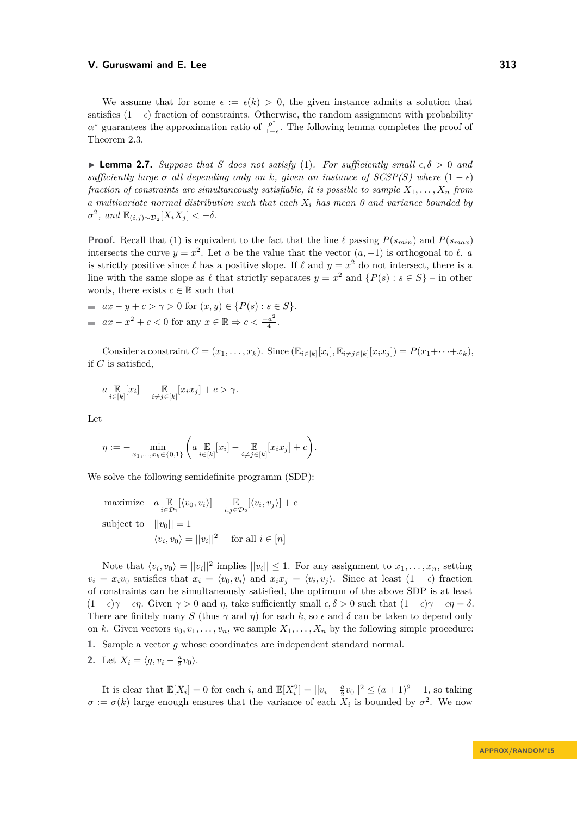We assume that for some  $\epsilon := \epsilon(k) > 0$ , the given instance admits a solution that satisfies  $(1 - \epsilon)$  fraction of constraints. Otherwise, the random assignment with probability *α*<sup>\*</sup> guarantees the approximation ratio of  $\frac{\rho^*}{1-\epsilon}$  $\frac{\rho}{1-\epsilon}$ . The following lemma completes the proof of Theorem [2.3.](#page-5-2)

 $\blacktriangleright$  **Lemma 2.7.** *Suppose that S does not satisfy* [\(1\)](#page-2-0)*. For sufficiently small*  $\epsilon, \delta > 0$  *and sufficiently large*  $\sigma$  *all depending only on*  $k$ *, given an instance of SCSP(S) where*  $(1 - \epsilon)$ *fraction of constraints are simultaneously satisfiable, it is possible to sample*  $X_1, \ldots, X_n$  *from a multivariate normal distribution such that each X<sup>i</sup> has mean 0 and variance bounded by*  $\sigma^2$ , and  $\mathbb{E}_{(i,j)\sim\mathcal{D}_2}[X_iX_j] < -\delta$ .

**Proof.** Recall that [\(1\)](#page-2-0) is equivalent to the fact that the line  $\ell$  passing  $P(s_{min})$  and  $P(s_{max})$ intersects the curve  $y = x^2$ . Let *a* be the value that the vector  $(a, -1)$  is orthogonal to  $\ell$ . *a* is strictly positive since  $\ell$  has a positive slope. If  $\ell$  and  $y = x^2$  do not intersect, there is a line with the same slope as  $\ell$  that strictly separates  $y = x^2$  and  $\{P(s) : s \in S\}$  – in other words, there exists  $c \in \mathbb{R}$  such that

 $a x - y + c > \gamma > 0$  for  $(x, y) \in \{P(s) : s \in S\}.$  $ax - x^2 + c < 0$  for any  $x \in \mathbb{R} \Rightarrow c < \frac{-a^2}{4}$  $\frac{a^2}{4}$ .

Consider a constraint  $C = (x_1, \ldots, x_k)$ . Since  $(\mathbb{E}_{i \in [k]}[x_i], \mathbb{E}_{i \neq j \in [k]}[x_i x_j]) = P(x_1 + \cdots + x_k)$ , if *C* is satisfied,

$$
a \underset{i \in [k]}{\mathbb{E}} [x_i] - \underset{i \neq j \in [k]}{\mathbb{E}} [x_i x_j] + c > \gamma.
$$

Let

$$
\eta := - \min_{x_1, ..., x_k \in \{0, 1\}} \left( a \mathop{\mathbb{E}}_{i \in [k]} [x_i] - \mathop{\mathbb{E}}_{i \neq j \in [k]} [x_i x_j] + c \right).
$$

We solve the following semidefinite programm (SDP):

maximize 
$$
a \underset{i \in \mathcal{D}_1}{\mathbb{E}} [\langle v_0, v_i \rangle] - \underset{i,j \in \mathcal{D}_2}{\mathbb{E}} [\langle v_i, v_j \rangle] + c
$$
  
subject to  $||v_0|| = 1$   
 $\langle v_i, v_0 \rangle = ||v_i||^2$  for all  $i \in [n]$ 

Note that  $\langle v_i, v_0 \rangle = ||v_i||^2$  implies  $||v_i|| \leq 1$ . For any assignment to  $x_1, \ldots, x_n$ , setting  $v_i = x_i v_0$  satisfies that  $x_i = \langle v_0, v_i \rangle$  and  $x_i x_j = \langle v_i, v_j \rangle$ . Since at least  $(1 - \epsilon)$  fraction of constraints can be simultaneously satisfied, the optimum of the above SDP is at least  $(1 - \epsilon)\gamma - \epsilon\eta$ . Given  $\gamma > 0$  and  $\eta$ , take sufficiently small  $\epsilon, \delta > 0$  such that  $(1 - \epsilon)\gamma - \epsilon\eta = \delta$ . There are finitely many *S* (thus  $\gamma$  and  $\eta$ ) for each *k*, so  $\epsilon$  and  $\delta$  can be taken to depend only on *k*. Given vectors  $v_0, v_1, \ldots, v_n$ , we sample  $X_1, \ldots, X_n$  by the following simple procedure:

- **1.** Sample a vector *g* whose coordinates are independent standard normal.
- 2. Let  $X_i = \langle g, v_i \frac{a}{2}v_0 \rangle$ .

It is clear that  $\mathbb{E}[X_i] = 0$  for each *i*, and  $\mathbb{E}[X_i^2] = ||v_i - \frac{a}{2}v_0||^2 \le (a+1)^2 + 1$ , so taking  $\sigma := \sigma(k)$  large enough ensures that the variance of each  $X_i$  is bounded by  $\sigma^2$ . We now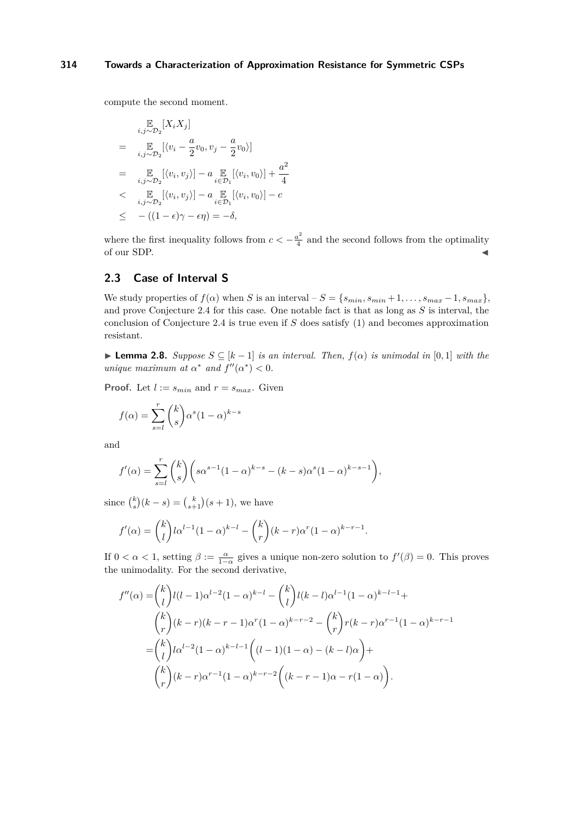compute the second moment.

$$
\mathbb{E}_{i,j\sim\mathcal{D}_2}[X_i X_j]
$$
\n
$$
= \mathbb{E}_{i,j\sim\mathcal{D}_2}[\langle v_i - \frac{a}{2}v_0, v_j - \frac{a}{2}v_0 \rangle]
$$
\n
$$
= \mathbb{E}_{i,j\sim\mathcal{D}_2}[\langle v_i, v_j \rangle] - a \mathbb{E}_{i\in\mathcal{D}_1}[\langle v_i, v_0 \rangle] + \frac{a^2}{4}
$$
\n
$$
< \mathbb{E}_{i,j\sim\mathcal{D}_2}[\langle v_i, v_j \rangle] - a \mathbb{E}_{i\in\mathcal{D}_1}[\langle v_i, v_0 \rangle] - c
$$
\n
$$
\leq -( (1 - \epsilon)\gamma - \epsilon\eta) = -\delta,
$$

where the first inequality follows from  $c < -\frac{a^2}{4}$  $\frac{a^2}{4}$  and the second follows from the optimality of our SDP.

# <span id="page-9-0"></span>**2.3 Case of Interval S**

We study properties of  $f(\alpha)$  when *S* is an interval –  $S = \{s_{min}, s_{min} + 1, \ldots, s_{max} - 1, s_{max}\}$ , and prove Conjecture [2.4](#page-6-2) for this case. One notable fact is that as long as *S* is interval, the conclusion of Conjecture [2.4](#page-6-2) is true even if *S* does satisfy [\(1\)](#page-2-0) and becomes approximation resistant.

 $\blacktriangleright$  **Lemma 2.8.** *Suppose S* ⊂ [*k* − 1] *is an interval. Then,*  $f(\alpha)$  *is unimodal in* [0*,* 1] *with the unique maximum at*  $\alpha^*$  *and*  $f''(\alpha^*) < 0$ .

**Proof.** Let  $l := s_{min}$  and  $r = s_{max}$ . Given

$$
f(\alpha) = \sum_{s=l}^{r} {k \choose s} \alpha^{s} (1-\alpha)^{k-s}
$$

and

$$
f'(\alpha) = \sum_{s=l}^{r} {k \choose s} \left( s\alpha^{s-1} (1-\alpha)^{k-s} - (k-s)\alpha^s (1-\alpha)^{k-s-1} \right),
$$

since  $\binom{k}{s}(k-s) = \binom{k}{s+1}(s+1)$ , we have

$$
f'(\alpha) = {k \choose l} l \alpha^{l-1} (1-\alpha)^{k-l} - {k \choose r} (k-r) \alpha^r (1-\alpha)^{k-r-1}.
$$

If  $0 < \alpha < 1$ , setting  $\beta := \frac{\alpha}{1-\alpha}$  gives a unique non-zero solution to  $f'(\beta) = 0$ . This proves the unimodality. For the second derivative,

$$
f''(\alpha) = {k \choose l} l(l-1)\alpha^{l-2} (1-\alpha)^{k-l} - {k \choose l} l(k-l)\alpha^{l-1} (1-\alpha)^{k-l-1} +
$$
  

$$
{k \choose r} (k-r)(k-r-1)\alpha^r (1-\alpha)^{k-r-2} - {k \choose r} r(k-r)\alpha^{r-1} (1-\alpha)^{k-r-1}
$$
  

$$
= {k \choose l} l\alpha^{l-2} (1-\alpha)^{k-l-1} \left( (l-1)(1-\alpha) - (k-l)\alpha \right) +
$$
  

$$
{k \choose r} (k-r)\alpha^{r-1} (1-\alpha)^{k-r-2} \left( (k-r-1)\alpha - r(1-\alpha) \right).
$$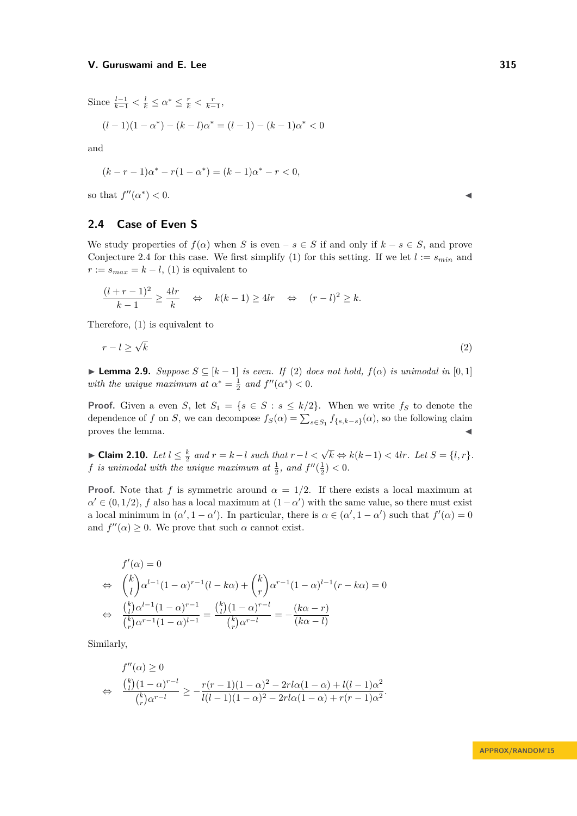Since  $\frac{l-1}{k-1} < \frac{l}{k} \le \alpha^* \le \frac{r}{k} < \frac{r}{k-1}$ ,

$$
(l-1)(1-\alpha^*) - (k-l)\alpha^* = (l-1) - (k-1)\alpha^* < 0
$$

and

$$
(k - r - 1)\alpha^* - r(1 - \alpha^*) = (k - 1)\alpha^* - r < 0,
$$

so that  $f''(\alpha^*)$  $)<$  0.

# <span id="page-10-0"></span>**2.4 Case of Even S**

We study properties of  $f(\alpha)$  when *S* is even –  $s \in S$  if and only if  $k - s \in S$ , and prove Conjecture [2.4](#page-6-2) for this case. We first simplify [\(1\)](#page-2-0) for this setting. If we let  $l := s_{min}$  and  $r := s_{max} = k - l$ , [\(1\)](#page-2-0) is equivalent to

$$
\frac{(l+r-1)^2}{k-1} \ge \frac{4lr}{k} \quad \Leftrightarrow \quad k(k-1) \ge 4lr \quad \Leftrightarrow \quad (r-l)^2 \ge k.
$$

Therefore, [\(1\)](#page-2-0) is equivalent to

<span id="page-10-1"></span>
$$
r - l \ge \sqrt{k} \tag{2}
$$

 $\blacktriangleright$  **Lemma 2.9.** *Suppose S* ⊆ [*k* − 1] *is even. If* [\(2\)](#page-10-1) *does not hold,*  $f(\alpha)$  *is unimodal in* [0, 1] *with the unique maximum at*  $\alpha^* = \frac{1}{2}$  *and*  $f''(\alpha^*) < 0$ .

**Proof.** Given a even *S*, let  $S_1 = \{s \in S : s \leq k/2\}$ . When we write  $f_S$  to denote the dependence of *f* on *S*, we can decompose  $f_S(\alpha) = \sum_{s \in S_1} f_{\{s,k-s\}}(\alpha)$ , so the following claim proves the lemma.

► Claim 2.10. Let  $l \leq \frac{k}{2}$  and  $r = k - l$  such that  $r - l < \sqrt{k} \Leftrightarrow k(k-1) < 4lr$ . Let  $S = \{l, r\}$ . *f* is unimodal with the unique maximum at  $\frac{1}{2}$ , and  $f''(\frac{1}{2}) < 0$ .

**Proof.** Note that *f* is symmetric around  $\alpha = 1/2$ . If there exists a local maximum at  $\alpha' \in (0, 1/2)$ , *f* also has a local maximum at  $(1 - \alpha')$  with the same value, so there must exist a local minimum in  $(\alpha', 1 - \alpha')$ . In particular, there is  $\alpha \in (\alpha', 1 - \alpha')$  such that  $f'(\alpha) = 0$ and  $f''(\alpha) \geq 0$ . We prove that such  $\alpha$  cannot exist.

$$
f'(\alpha) = 0
$$
  
\n
$$
\Leftrightarrow \binom{k}{l} \alpha^{l-1} (1 - \alpha)^{r-1} (l - k\alpha) + \binom{k}{r} \alpha^{r-1} (1 - \alpha)^{l-1} (r - k\alpha) = 0
$$
  
\n
$$
\Leftrightarrow \frac{\binom{k}{l} \alpha^{l-1} (1 - \alpha)^{r-1}}{\binom{k}{r} \alpha^{r-1} (1 - \alpha)^{l-1}} = \frac{\binom{k}{l} (1 - \alpha)^{r-l}}{\binom{k}{r} \alpha^{r-l}} = -\frac{(k\alpha - r)}{(k\alpha - l)}
$$

Similarly,

$$
f''(\alpha) \ge 0
$$
  
\n
$$
\Leftrightarrow \frac{{k \choose l} (1 - \alpha)^{r-l}}{{k \choose r} \alpha^{r-l}} \ge -\frac{r(r-1)(1 - \alpha)^2 - 2rl\alpha(1 - \alpha) + l(l-1)\alpha^2}{l(l-1)(1 - \alpha)^2 - 2rl\alpha(1 - \alpha) + r(r-1)\alpha^2}.
$$

**APPROX/RANDOM'15**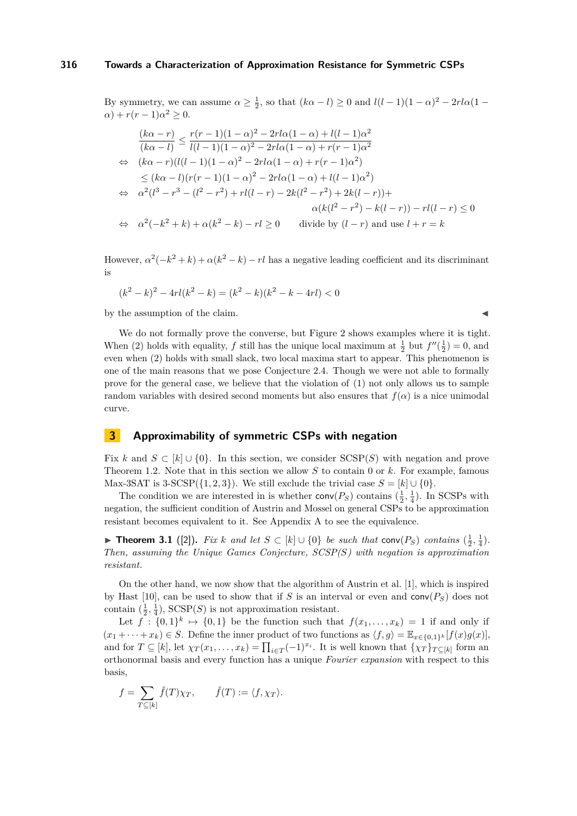By symmetry, we can assume  $\alpha \ge \frac{1}{2}$ , so that  $(k\alpha - l) \ge 0$  and  $l(l-1)(1-\alpha)^2 - 2rl\alpha(1-\alpha)$  $\alpha$ ) +  $r(r-1)\alpha^2 \geq 0$ .

$$
\frac{(k\alpha - r)}{(k\alpha - l)} \le \frac{r(r - 1)(1 - \alpha)^2 - 2rl\alpha(1 - \alpha) + l(l - 1)\alpha^2}{l(l - 1)(1 - \alpha)^2 - 2rl\alpha(1 - \alpha) + r(r - 1)\alpha^2}
$$
  
\n
$$
\Leftrightarrow (k\alpha - r)(l(l - 1)(1 - \alpha)^2 - 2rl\alpha(1 - \alpha) + r(r - 1)\alpha^2)
$$
  
\n
$$
\le (k\alpha - l)(r(r - 1)(1 - \alpha)^2 - 2rl\alpha(1 - \alpha) + l(l - 1)\alpha^2)
$$
  
\n
$$
\Leftrightarrow \alpha^2(l^3 - r^3 - (l^2 - r^2) + rl(l - r) - 2k(l^2 - r^2) + 2k(l - r)) +
$$
  
\n
$$
\alpha(k(l^2 - r^2) - k(l - r)) - rl(l - r) \le 0
$$
  
\n
$$
\Leftrightarrow \alpha^2(-k^2 + k) + \alpha(k^2 - k) - rl \ge 0 \qquad \text{divide by } (l - r) \text{ and use } l + r = k
$$

However,  $\alpha^2(-k^2 + k) + \alpha(k^2 - k) - rl$  has a negative leading coefficient and its discriminant is

$$
(k2 - k)2 - 4rl(k2 - k) = (k2 - k)(k2 - k - 4rl) < 0
$$

by the assumption of the claim.

We do not formally prove the converse, but Figure [2](#page-6-1) shows examples where it is tight. When [\(2\)](#page-10-1) holds with equality, *f* still has the unique local maximum at  $\frac{1}{2}$  but  $f''(\frac{1}{2}) = 0$ , and even when [\(2\)](#page-10-1) holds with small slack, two local maxima start to appear. This phenomenon is one of the main reasons that we pose Conjecture [2.4.](#page-6-2) Though we were not able to formally prove for the general case, we believe that the violation of [\(1\)](#page-2-0) not only allows us to sample random variables with desired second moments but also ensures that  $f(\alpha)$  is a nice unimodal curve.

# <span id="page-11-0"></span>**3 Approximability of symmetric CSPs with negation**

Fix k and  $S \subset [k] \cup \{0\}$ . In this section, we consider SCSP(S) with negation and prove Theorem [1.2.](#page-3-2) Note that in this section we allow *S* to contain 0 or *k*. For example, famous Max-3SAT is 3-SCSP( $\{1, 2, 3\}$ ). We still exclude the trivial case  $S = [k] \cup \{0\}$ .

The condition we are interested in is whether  $conv(P_S)$  contains  $(\frac{1}{2}, \frac{1}{4})$ . In SCSPs with negation, the sufficient condition of Austrin and Mossel on general CSPs to be approximation resistant becomes equivalent to it. See Appendix [A](#page-15-4) to see the equivalence.

▶ **Theorem 3.1** ([\[2\]](#page-14-0)). *Fix k and let*  $S \subset [k] \cup \{0\}$  *be such that* conv $(P_S)$  *contains*  $(\frac{1}{2}, \frac{1}{4})$ *. Then, assuming the Unique Games Conjecture, SCSP(S) with negation is approximation resistant.*

On the other hand, we now show that the algorithm of Austrin et al. [\[1\]](#page-14-6), which is inspired by Hast [\[10\]](#page-14-3), can be used to show that if *S* is an interval or even and  $conv(P<sub>S</sub>)$  does not contain  $(\frac{1}{2}, \frac{1}{4})$ ,  $SCSP(S)$  is not approximation resistant.

Let  $f: \{0,1\}^k \mapsto \{0,1\}$  be the function such that  $f(x_1,\ldots,x_k) = 1$  if and only if  $(x_1 + \cdots + x_k) \in S$ . Define the inner product of two functions as  $\langle f, g \rangle = \mathbb{E}_{x \in \{0,1\}^k} [f(x)g(x)],$ and for  $T \subseteq [k]$ , let  $\chi_T(x_1, \ldots, x_k) = \prod_{i \in T} (-1)^{x_i}$ . It is well known that  $\{\chi_T\}_{T \subseteq [k]}$  form an orthonormal basis and every function has a unique *Fourier expansion* with respect to this basis,

$$
f = \sum_{T \subseteq [k]} \hat{f}(T)\chi_T, \qquad \hat{f}(T) := \langle f, \chi_T \rangle.
$$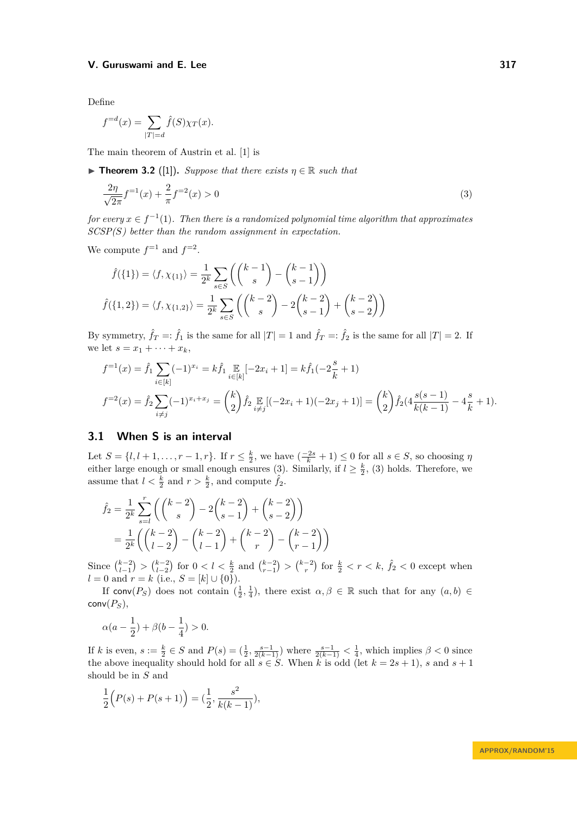Define

$$
f^{=d}(x) = \sum_{|T|=d} \hat{f}(S)\chi_T(x).
$$

The main theorem of Austrin et al. [\[1\]](#page-14-6) is

 $\triangleright$  **Theorem 3.2** ([\[1\]](#page-14-6)). *Suppose that there exists*  $\eta \in \mathbb{R}$  *such that* 

<span id="page-12-0"></span>
$$
\frac{2\eta}{\sqrt{2\pi}}f^{-1}(x) + \frac{2}{\pi}f^{-2}(x) > 0
$$
\n(3)

*for every*  $x \in f^{-1}(1)$ . Then there is a randomized polynomial time algorithm that approximates *SCSP(S) better than the random assignment in expectation.*

We compute  $f^{-1}$  and  $f^{-2}$ .

$$
\hat{f}(\{1\}) = \langle f, \chi_{\{1\}} \rangle = \frac{1}{2^k} \sum_{s \in S} \left( \binom{k-1}{s} - \binom{k-1}{s-1} \right)
$$
\n
$$
\hat{f}(\{1,2\}) = \langle f, \chi_{\{1,2\}} \rangle = \frac{1}{2^k} \sum_{s \in S} \left( \binom{k-2}{s} - 2 \binom{k-2}{s-1} + \binom{k-2}{s-2} \right)
$$

By symmetry,  $\hat{f}_T =: \hat{f}_1$  is the same for all  $|T| = 1$  and  $\hat{f}_T =: \hat{f}_2$  is the same for all  $|T| = 2$ . If we let  $s = x_1 + \cdots + x_k$ ,

$$
f^{-1}(x) = \hat{f}_1 \sum_{i \in [k]} (-1)^{x_i} = k \hat{f}_1 \mathop{\mathbb{E}}_{i \in [k]} [-2x_i + 1] = k \hat{f}_1(-2\frac{s}{k} + 1)
$$
  

$$
f^{-2}(x) = \hat{f}_2 \sum_{i \neq j} (-1)^{x_i + x_j} = {k \choose 2} \hat{f}_2 \mathop{\mathbb{E}}_{i \neq j} [(-2x_i + 1)(-2x_j + 1)] = {k \choose 2} \hat{f}_2(4\frac{s(s-1)}{k(k-1)} - 4\frac{s}{k} + 1).
$$

# **3.1 When S is an interval**

Let  $S = \{l, l+1, \ldots, r-1, r\}$ . If  $r \leq \frac{k}{2}$ , we have  $\left(\frac{-2s}{k} + 1\right) \leq 0$  for all  $s \in S$ , so choosing  $\eta$ either large enough or small enough ensures [\(3\)](#page-12-0). Similarly, if  $l \geq \frac{k}{2}$ , (3) holds. Therefore, we assume that  $l < \frac{k}{2}$  and  $r > \frac{k}{2}$ , and compute  $\hat{f}_2$ .

$$
\hat{f}_2 = \frac{1}{2^k} \sum_{s=l}^r \left( \binom{k-2}{s} - 2\binom{k-2}{s-1} + \binom{k-2}{s-2} \right)
$$

$$
= \frac{1}{2^k} \left( \binom{k-2}{l-2} - \binom{k-2}{l-1} + \binom{k-2}{r} - \binom{k-2}{r-1} \right)
$$

Since  ${k-2 \choose l-1} > {k-2 \choose l-2}$  for  $0 < l < \frac{k}{2}$  and  ${k-2 \choose r} > {k-2 \choose r}$  for  $\frac{k}{2} < r < k$ ,  $\hat{f}_2 < 0$  except when *l* = 0 and *r* = *k* (i.e., *S* = [*k*] ∪ {0}).

If conv $(P_S)$  does not contain  $(\frac{1}{2}, \frac{1}{4})$ , there exist  $\alpha, \beta \in \mathbb{R}$  such that for any  $(a, b) \in$  $conv(P_S)$ ,

$$
\alpha(a-\frac{1}{2})+\beta(b-\frac{1}{4})>0.
$$

If *k* is even,  $s := \frac{k}{2} \in S$  and  $P(s) = (\frac{1}{2}, \frac{s-1}{2(k-1)})$  where  $\frac{s-1}{2(k-1)} < \frac{1}{4}$ , which implies  $\beta < 0$  since the above inequality should hold for all  $s \in S$ . When k is odd (let  $k = 2s + 1$ ), s and  $s + 1$ should be in *S* and

$$
\frac{1}{2}\Big(P(s) + P(s+1)\Big) = \left(\frac{1}{2}, \frac{s^2}{k(k-1)}\right),
$$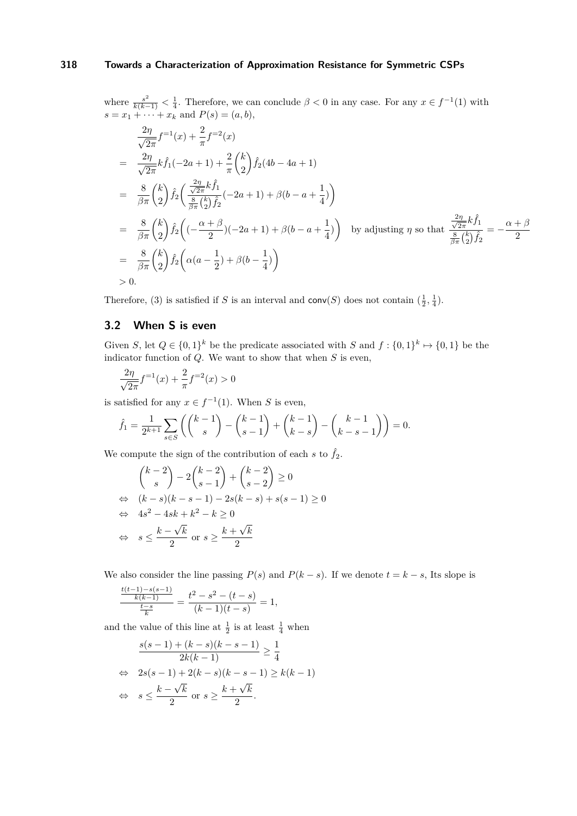where  $\frac{s^2}{k(k-1)} < \frac{1}{4}$ . Therefore, we can conclude  $\beta < 0$  in any case. For any  $x \in f^{-1}(1)$  with  $s = x_1 + \cdots + x_k$  and  $P(s) = (a, b),$ 

$$
\frac{2\eta}{\sqrt{2\pi}} f^{-1}(x) + \frac{2}{\pi} f^{-2}(x)
$$
\n
$$
= \frac{2\eta}{\sqrt{2\pi}} k \hat{f}_1(-2a+1) + \frac{2}{\pi} {k \choose 2} \hat{f}_2(4b-4a+1)
$$
\n
$$
= \frac{8}{\beta\pi} {k \choose 2} \hat{f}_2 \left( \frac{\frac{2\eta}{\sqrt{2\pi}} k \hat{f}_1}{\frac{8}{\beta\pi} {k \choose 2} \hat{f}_2} (-2a+1) + \beta(b-a+\frac{1}{4}) \right)
$$
\n
$$
= \frac{8}{\beta\pi} {k \choose 2} \hat{f}_2 \left( (-\frac{\alpha+\beta}{2})(-2a+1) + \beta(b-a+\frac{1}{4}) \right) \text{ by adjusting } \eta \text{ so that } \frac{\frac{2\eta}{\sqrt{2\pi}} k \hat{f}_1}{\frac{8}{\beta\pi} {k \choose 2} \hat{f}_2} = -\frac{\alpha+\beta}{2}
$$
\n
$$
= \frac{8}{\beta\pi} {k \choose 2} \hat{f}_2 \left( \alpha(a-\frac{1}{2}) + \beta(b-\frac{1}{4}) \right)
$$
\n
$$
> 0.
$$

Therefore, [\(3\)](#page-12-0) is satisfied if *S* is an interval and  $conv(S)$  does not contain  $(\frac{1}{2}, \frac{1}{4})$ .

# **3.2 When S is even**

Given *S*, let  $Q \in \{0,1\}^k$  be the predicate associated with *S* and  $f: \{0,1\}^k \mapsto \{0,1\}$  be the indicator function of *Q*. We want to show that when *S* is even,

$$
\frac{2\eta}{\sqrt{2\pi}}f^{-1}(x) + \frac{2}{\pi}f^{-2}(x) > 0
$$

is satisfied for any  $x \in f^{-1}(1)$ . When *S* is even,

$$
\hat{f}_1 = \frac{1}{2^{k+1}} \sum_{s \in S} \left( \binom{k-1}{s} - \binom{k-1}{s-1} + \binom{k-1}{k-s} - \binom{k-1}{k-s-1} \right) = 0.
$$

We compute the sign of the contribution of each  $s$  to  $\hat{f}_2$ .

$$
\binom{k-2}{s} - 2\binom{k-2}{s-1} + \binom{k-2}{s-2} \ge 0
$$
  
\n
$$
\Leftrightarrow \quad (k-s)(k-s-1) - 2s(k-s) + s(s-1) \ge 0
$$
  
\n
$$
\Leftrightarrow \quad 4s^2 - 4sk + k^2 - k \ge 0
$$
  
\n
$$
\Leftrightarrow \quad s \le \frac{k-\sqrt{k}}{2} \text{ or } s \ge \frac{k+\sqrt{k}}{2}
$$

We also consider the line passing  $P(s)$  and  $P(k - s)$ . If we denote  $t = k - s$ , Its slope is

$$
\frac{\frac{t(t-1)-s(s-1)}{k(k-1)}}{\frac{t-s}{k}} = \frac{t^2-s^2-(t-s)}{(k-1)(t-s)} = 1,
$$

and the value of this line at  $\frac{1}{2}$  is at least  $\frac{1}{4}$  when

$$
\frac{s(s-1) + (k-s)(k-s-1)}{2k(k-1)} \ge \frac{1}{4}
$$
  
\n
$$
\Leftrightarrow 2s(s-1) + 2(k-s)(k-s-1) \ge k(k-1)
$$
  
\n
$$
\Leftrightarrow s \le \frac{k-\sqrt{k}}{2} \text{ or } s \ge \frac{k+\sqrt{k}}{2}.
$$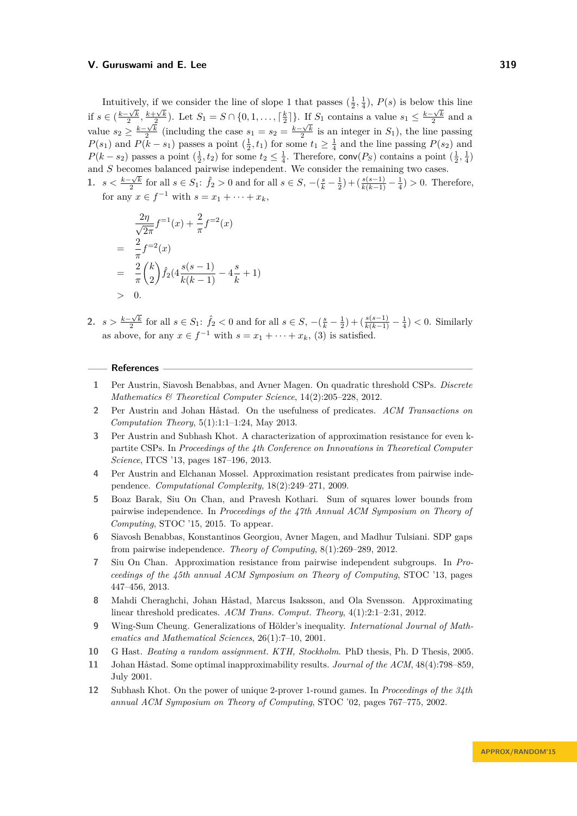Intuitively, if we consider the line of slope 1 that passes  $(\frac{1}{2}, \frac{1}{4})$ ,  $P(s)$  is below this line if  $s \in (\frac{k-\sqrt{k}}{2}, \frac{k+\sqrt{k}}{2})$ . Let  $S_1 = S \cap \{0, 1, \ldots, \lceil \frac{k}{2} \rceil\}$ . If  $S_1$  contains a value  $s_1 \leq \frac{k-\sqrt{k}}{2}$  and a 2 : 2  $\frac{1}{2}$  : Let  $D_1 = D + [0, 1, \ldots, 1, 2]$   $\int$ . If  $D_1$  contains a value  $\delta_1 \geq 2$ value  $s_2 \geq \frac{k-\sqrt{k}}{2}$  (including the case  $s_1 = s_2 = \frac{k-\sqrt{k}}{2}$  is an integer in  $S_1$ ), the line passing *P*(*s*<sub>1</sub>) and *P*(*k* − *s*<sub>1</sub>) passes a point  $(\frac{1}{2}, t_1)$  for some  $t_1 \geq \frac{1}{4}$  and the line passing *P*(*s*<sub>2</sub>) and  $P(k - s_2)$  passes a point  $(\frac{1}{2}, t_2)$  for some  $t_2 \leq \frac{1}{4}$ . Therefore, conv $(P_S)$  contains a point  $(\frac{1}{2}, \frac{1}{4})$ and *S* becomes balanced pairwise independent. We consider the remaining two cases.

1.  $s < \frac{k-\sqrt{k}}{2}$  for all  $s \in S_1$ :  $\hat{f}_2 > 0$  and for all  $s \in S$ ,  $-(\frac{s}{k}-\frac{1}{2})+(\frac{s(s-1)}{k(k-1)}-\frac{1}{4}) > 0$ . Therefore, for any  $x \in f^{-1}$  with  $s = x_1 + \cdots + x_k$ ,

$$
\frac{2\eta}{\sqrt{2\pi}} f^{-1}(x) + \frac{2}{\pi} f^{-2}(x)
$$
\n
$$
= \frac{2}{\pi} f^{-2}(x)
$$
\n
$$
= \frac{2}{\pi} {k \choose 2} \hat{f}_2(4 \frac{s(s-1)}{k(k-1)} - 4 \frac{s}{k} + 1)
$$
\n
$$
> 0.
$$

2.  $s > \frac{k-\sqrt{k}}{2}$  for all  $s \in S_1$ :  $\hat{f}_2 < 0$  and for all  $s \in S$ ,  $-(\frac{s}{k}-\frac{1}{2})+(\frac{s(s-1)}{k(k-1)}-\frac{1}{4}) < 0$ . Similarly as above, for any  $x \in f^{-1}$  with  $s = x_1 + \cdots + x_k$ , [\(3\)](#page-12-0) is satisfied.

#### **References**

- <span id="page-14-6"></span>**1** Per Austrin, Siavosh Benabbas, and Avner Magen. On quadratic threshold CSPs. *Discrete Mathematics & Theoretical Computer Science*, 14(2):205–228, 2012.
- <span id="page-14-0"></span>**2** Per Austrin and Johan Håstad. On the usefulness of predicates. *ACM Transactions on Computation Theory*, 5(1):1:1–1:24, May 2013.
- <span id="page-14-7"></span>**3** Per Austrin and Subhash Khot. A characterization of approximation resistance for even kpartite CSPs. In *Proceedings of the 4th Conference on Innovations in Theoretical Computer Science*, ITCS '13, pages 187–196, 2013.
- <span id="page-14-1"></span>**4** Per Austrin and Elchanan Mossel. Approximation resistant predicates from pairwise independence. *Computational Complexity*, 18(2):249–271, 2009.
- <span id="page-14-10"></span>**5** Boaz Barak, Siu On Chan, and Pravesh Kothari. Sum of squares lower bounds from pairwise independence. In *Proceedings of the 47th Annual ACM Symposium on Theory of Computing*, STOC '15, 2015. To appear.
- <span id="page-14-9"></span>**6** Siavosh Benabbas, Konstantinos Georgiou, Avner Magen, and Madhur Tulsiani. SDP gaps from pairwise independence. *Theory of Computing*, 8(1):269–289, 2012.
- <span id="page-14-8"></span>**7** Siu On Chan. Approximation resistance from pairwise independent subgroups. In *Proceedings of the 45th annual ACM Symposium on Theory of Computing*, STOC '13, pages 447–456, 2013.
- <span id="page-14-5"></span>**8** Mahdi Cheraghchi, Johan Håstad, Marcus Isaksson, and Ola Svensson. Approximating linear threshold predicates. *ACM Trans. Comput. Theory*, 4(1):2:1–2:31, 2012.
- <span id="page-14-11"></span>**9** Wing-Sum Cheung. Generalizations of Hölder's inequality. *International Journal of Mathematics and Mathematical Sciences*, 26(1):7–10, 2001.
- <span id="page-14-3"></span>**10** G Hast. *Beating a random assignment. KTH, Stockholm*. PhD thesis, Ph. D Thesis, 2005.
- <span id="page-14-2"></span>**11** Johan Håstad. Some optimal inapproximability results. *Journal of the ACM*, 48(4):798–859, July 2001.
- <span id="page-14-4"></span>**12** Subhash Khot. On the power of unique 2-prover 1-round games. In *Proceedings of the 34th annual ACM Symposium on Theory of Computing*, STOC '02, pages 767–775, 2002.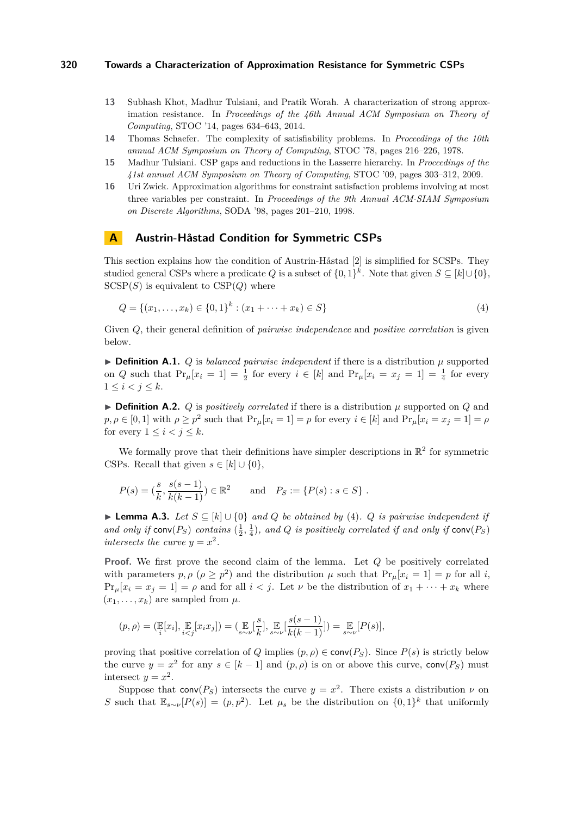- <span id="page-15-2"></span>**13** Subhash Khot, Madhur Tulsiani, and Pratik Worah. A characterization of strong approximation resistance. In *Proceedings of the 46th Annual ACM Symposium on Theory of Computing*, STOC '14, pages 634–643, 2014.
- <span id="page-15-0"></span>**14** Thomas Schaefer. The complexity of satisfiability problems. In *Proceedings of the 10th annual ACM Symposium on Theory of Computing*, STOC '78, pages 216–226, 1978.
- <span id="page-15-3"></span>**15** Madhur Tulsiani. CSP gaps and reductions in the Lasserre hierarchy. In *Proceedings of the 41st annual ACM Symposium on Theory of Computing*, STOC '09, pages 303–312, 2009.
- <span id="page-15-1"></span>**16** Uri Zwick. Approximation algorithms for constraint satisfaction problems involving at most three variables per constraint. In *Proceedings of the 9th Annual ACM-SIAM Symposium on Discrete Algorithms*, SODA '98, pages 201–210, 1998.

# <span id="page-15-4"></span>**A Austrin-Håstad Condition for Symmetric CSPs**

This section explains how the condition of Austrin-Håstad [\[2\]](#page-14-0) is simplified for SCSPs. They studied general CSPs where a predicate *Q* is a subset of  $\{0,1\}^k$ . Note that given  $S \subseteq [k] \cup \{0\}$ ,  $SCSP(S)$  is equivalent to  $CSP(Q)$  where

<span id="page-15-5"></span>
$$
Q = \{(x_1, \dots, x_k) \in \{0, 1\}^k : (x_1 + \dots + x_k) \in S\}
$$
\n
$$
(4)
$$

Given *Q*, their general definition of *pairwise independence* and *positive correlation* is given below.

 $\triangleright$  **Definition A.1.** *Q* is *balanced pairwise independent* if there is a distribution  $\mu$  supported on *Q* such that  $Pr_{\mu}[x_i = 1] = \frac{1}{2}$  for every  $i \in [k]$  and  $Pr_{\mu}[x_i = x_j = 1] = \frac{1}{4}$  for every  $1 \leq i < j \leq k$ .

 $\triangleright$  **Definition A.2.** *Q* is *positively correlated* if there is a distribution  $\mu$  supported on *Q* and  $p, \rho \in [0, 1]$  with  $\rho \geq p^2$  such that  $\Pr_\mu[x_i = 1] = p$  for every  $i \in [k]$  and  $\Pr_\mu[x_i = x_j = 1] = \rho$ for every  $1 \leq i < j \leq k$ .

We formally prove that their definitions have simpler descriptions in  $\mathbb{R}^2$  for symmetric CSPs. Recall that given  $s \in [k] \cup \{0\}$ ,

$$
P(s) = \left(\frac{s}{k}, \frac{s(s-1)}{k(k-1)}\right) \in \mathbb{R}^2
$$
 and  $P_S := \{P(s) : s \in S\}$ .

**► Lemma A.3.** Let  $S \subseteq [k] \cup \{0\}$  and  $Q$  be obtained by [\(4\)](#page-15-5).  $Q$  is pairwise independent if and only if  $conv(P_S)$  *contains*  $(\frac{1}{2}, \frac{1}{4})$ *, and Q is positively correlated if and only if*  $conv(P_S)$ *intersects the curve*  $y = x^2$ .

**Proof.** We first prove the second claim of the lemma. Let *Q* be positively correlated with parameters  $p, \rho \ (\rho \geq p^2)$  and the distribution  $\mu$  such that  $Pr_{\mu}[x_i = 1] = p$  for all *i*,  $Pr_{\mu}[x_i = x_j = 1] = \rho$  and for all  $i < j$ . Let  $\nu$  be the distribution of  $x_1 + \cdots + x_k$  where  $(x_1, \ldots, x_k)$  are sampled from  $\mu$ .

$$
(p, \rho) = (\mathbb{E}[x_i], \mathbb{E}_{i \leq j}[x_i x_j]) = (\mathbb{E}_{s \sim \nu}[\frac{s}{k}], \mathbb{E}_{s \sim \nu}[\frac{s(s-1)}{k(k-1)}]) = \mathbb{E}_{s \sim \nu}[P(s)],
$$

proving that positive correlation of *Q* implies  $(p, \rho) \in \text{conv}(P_S)$ . Since  $P(s)$  is strictly below the curve  $y = x^2$  for any  $s \in [k-1]$  and  $(p, \rho)$  is on or above this curve, conv $(P_S)$  must intersect  $y = x^2$ .

Suppose that  $conv(P<sub>S</sub>)$  intersects the curve  $y = x<sup>2</sup>$ . There exists a distribution  $\nu$  on *S* such that  $\mathbb{E}_{s \sim \nu}[P(s)] = (p, p^2)$ . Let  $\mu_s$  be the distribution on  $\{0, 1\}^k$  that uniformly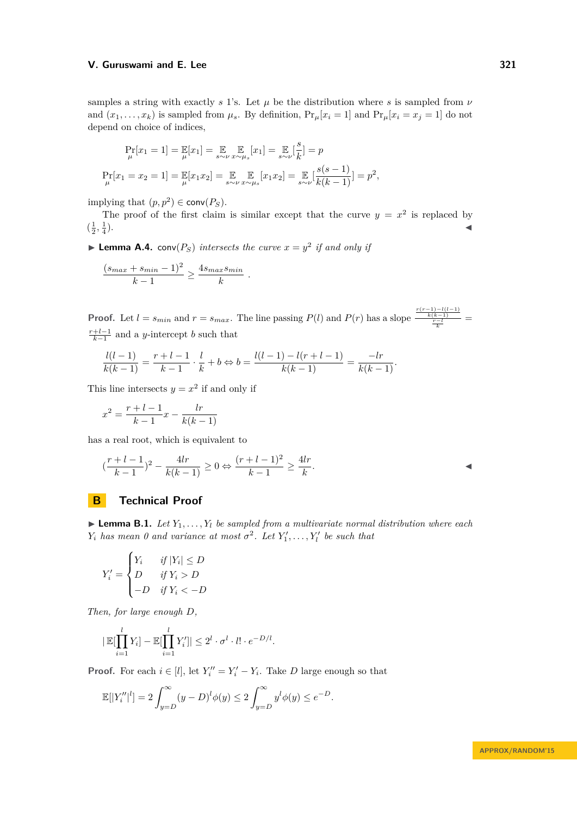samples a string with exactly  $s$  1's. Let  $\mu$  be the distribution where  $s$  is sampled from  $\nu$ and  $(x_1, \ldots, x_k)$  is sampled from  $\mu_s$ . By definition,  $Pr_\mu[x_i = 1]$  and  $Pr_\mu[x_i = x_j = 1]$  do not depend on choice of indices,

$$
\Pr_{\mu}[x_1 = 1] = \mathbb{E}_{\mu}[x_1] = \mathbb{E}_{s \sim \nu} \mathbb{E}_{x \sim \mu_s}[x_1] = \mathbb{E}_{s \sim \nu} \left[\frac{s}{k}\right] = p
$$
  

$$
\Pr_{\mu}[x_1 = x_2 = 1] = \mathbb{E}_{\mu}[x_1 x_2] = \mathbb{E}_{s \sim \nu} \mathbb{E}_{x \sim \mu_s}[x_1 x_2] = \mathbb{E}_{s \sim \nu} \left[\frac{s(s-1)}{k(k-1)}\right] = p^2,
$$

implying that  $(p, p^2) \in \text{conv}(P_S)$ .

The proof of the first claim is similar except that the curve  $y = x^2$  is replaced by  $(\frac{1}{2}, \frac{1}{4})$  $\blacksquare$ ).

<span id="page-16-0"></span>**Lemma A.4.** conv $(P_S)$  intersects the curve  $x = y^2$  if and only if

$$
\frac{(s_{max} + s_{min} - 1)^2}{k - 1} \ge \frac{4s_{max} s_{min}}{k}.
$$

**Proof.** Let  $l = s_{min}$  and  $r = s_{max}$ . The line passing  $P(l)$  and  $P(r)$  has a slope  $\frac{\frac{r(r-1)-l(l-1)}{k(k-1)}}{\frac{r-l}{k}}$  $\frac{r+l-1}{k-1}$  and a *y*-intercept *b* such that

$$
\frac{l(l-1)}{k(k-1)} = \frac{r+l-1}{k-1} \cdot \frac{l}{k} + b \Leftrightarrow b = \frac{l(l-1) - l(r+l-1)}{k(k-1)} = \frac{-lr}{k(k-1)}.
$$

This line intersects  $y = x^2$  if and only if

$$
x^{2} = \frac{r+l-1}{k-1}x - \frac{lr}{k(k-1)}
$$

has a real root, which is equivalent to

$$
(\frac{r+l-1}{k-1})^2 - \frac{4lr}{k(k-1)} \ge 0 \Leftrightarrow \frac{(r+l-1)^2}{k-1} \ge \frac{4lr}{k}.
$$

# **B Technical Proof**

<span id="page-16-1"></span>**Lemma B.1.** *Let*  $Y_1, \ldots, Y_l$  *be sampled from a multivariate normal distribution where each Y*<sub>*i*</sub> *has mean 0 and variance at most*  $\sigma^2$ . Let  $Y'_1, \ldots, Y'_l$  be such that

$$
Y_i' = \begin{cases} Y_i & \text{if } |Y_i| \le D \\ D & \text{if } Y_i > D \\ -D & \text{if } Y_i < -D \end{cases}
$$

*Then, for large enough D,*

$$
|\mathbb{E}[\prod_{i=1}^l Y_i] - \mathbb{E}[\prod_{i=1}^l Y_i']| \leq 2^l \cdot \sigma^l \cdot l! \cdot e^{-D/l}.
$$

**Proof.** For each  $i \in [l]$ , let  $Y_i'' = Y_i' - Y_i$ . Take *D* large enough so that

$$
\mathbb{E}[|Y''_i|^l] = 2 \int_{y=D}^{\infty} (y-D)^l \phi(y) \le 2 \int_{y=D}^{\infty} y^l \phi(y) \le e^{-D}.
$$